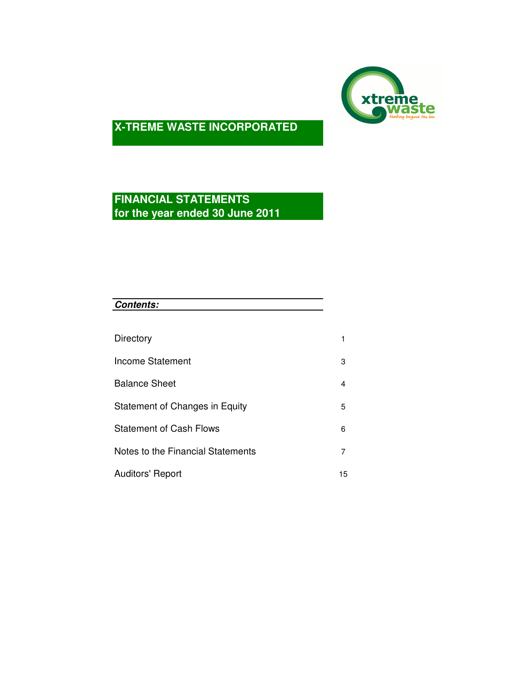

# **FINANCIAL STATEMENTS for the year ended 30 June 2011**

| Directory<br>Income Statement     |                |
|-----------------------------------|----------------|
|                                   |                |
|                                   | 1              |
|                                   | 3              |
| <b>Balance Sheet</b>              | 4              |
| Statement of Changes in Equity    | 5              |
| <b>Statement of Cash Flows</b>    | 6              |
| Notes to the Financial Statements | $\overline{7}$ |
| <b>Auditors' Report</b>           | 15             |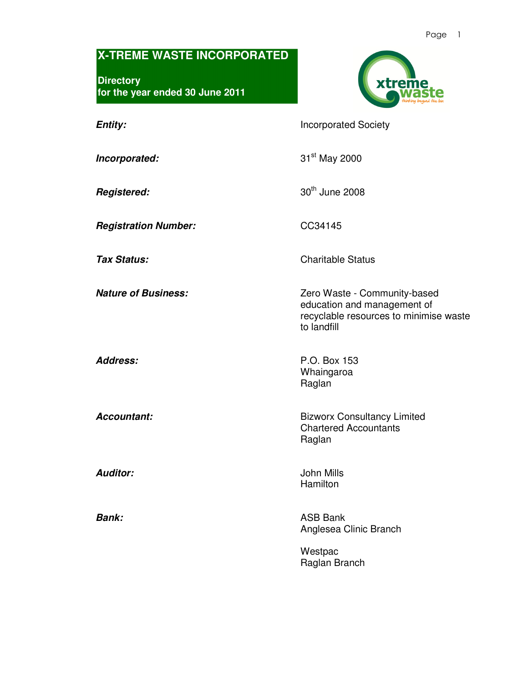**Directory for the year ended 30 June 2011** 



**Entity: Incorporated Society** 

**Incorporated:** 31<sup>st</sup> May 2000

**Registered:** 30<sup>th</sup> June 2008

**Registration Number:** CC34145

**Tax Status:** Charitable Status

**Nature of Business: Nature of Business: Zero Waste - Community-based** 

education and management of recyclable resources to minimise waste to landfill

**Address:** P.O. Box 153 Whaingaroa Raglan

**Accountant: Bizworx Consultancy Limited** Chartered Accountants Raglan

**Auditor:** John Mills Hamilton

**Bank:** ASB Bank Anglesea Clinic Branch

> Westpac Raglan Branch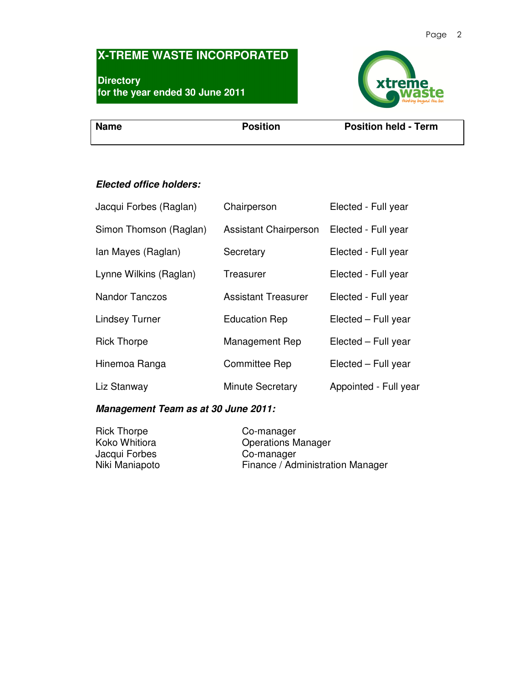**Directory for the year ended 30 June 2011** 



**Name** Position Position Position Position Position held - Term

# **Elected office holders:**

| Jacqui Forbes (Raglan) | Chairperson                  | Elected - Full year   |
|------------------------|------------------------------|-----------------------|
| Simon Thomson (Raglan) | <b>Assistant Chairperson</b> | Elected - Full year   |
| Ian Mayes (Raglan)     | Secretary                    | Elected - Full year   |
| Lynne Wilkins (Raglan) | Treasurer                    | Elected - Full year   |
| <b>Nandor Tanczos</b>  | <b>Assistant Treasurer</b>   | Elected - Full year   |
| <b>Lindsey Turner</b>  | <b>Education Rep</b>         | Elected - Full year   |
| <b>Rick Thorpe</b>     | Management Rep               | Elected - Full year   |
| Hinemoa Ranga          | <b>Committee Rep</b>         | Elected - Full year   |
| Liz Stanway            | <b>Minute Secretary</b>      | Appointed - Full year |

### **Management Team as at 30 June 2011:**

| Rick Thorpe    | Co-manager                       |
|----------------|----------------------------------|
| Koko Whitiora  | <b>Operations Manager</b>        |
| Jacqui Forbes  | Co-manager                       |
| Niki Maniapoto | Finance / Administration Manager |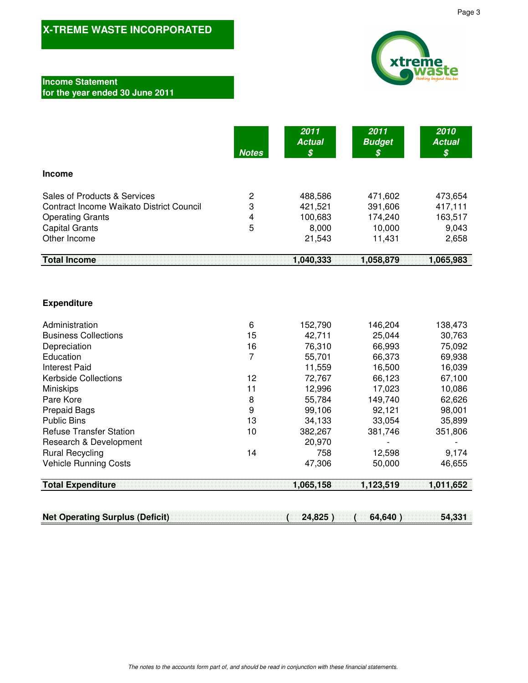### **Income Statement for the year ended 30 June 2011**

|                                          | <b>Notes</b> | 2011<br><b>Actual</b><br>\$ | 2011<br><b>Budget</b><br>\$ | 2010<br><b>Actual</b><br>\$ |
|------------------------------------------|--------------|-----------------------------|-----------------------------|-----------------------------|
| <b>Income</b>                            |              |                             |                             |                             |
| Sales of Products & Services             | 2            | 488,586                     | 471,602                     | 473,654                     |
| Contract Income Waikato District Council | 3            | 421,521                     | 391,606                     | 417,111                     |
| <b>Operating Grants</b>                  | 4            | 100,683                     | 174,240                     | 163,517                     |
| <b>Capital Grants</b>                    | 5            | 8,000                       | 10,000                      | 9,043                       |
| Other Income                             |              | 21,543                      | 11,431                      | 2,658                       |
| <b>Total Income</b>                      |              | 1,040,333                   | 1,058,879                   | 1,065,983                   |

### **Expenditure**

| Administration                 | 6  | 152,790 | 146,204 | 138,473 |
|--------------------------------|----|---------|---------|---------|
| <b>Business Collections</b>    | 15 | 42,711  | 25,044  | 30,763  |
| Depreciation                   | 16 | 76,310  | 66,993  | 75,092  |
| Education                      | 7  | 55,701  | 66,373  | 69,938  |
| Interest Paid                  |    | 11,559  | 16,500  | 16,039  |
| <b>Kerbside Collections</b>    | 12 | 72,767  | 66,123  | 67,100  |
| <b>Miniskips</b>               | 11 | 12,996  | 17,023  | 10,086  |
| Pare Kore                      | 8  | 55,784  | 149,740 | 62,626  |
| <b>Prepaid Bags</b>            | 9  | 99,106  | 92,121  | 98,001  |
| <b>Public Bins</b>             | 13 | 34,133  | 33,054  | 35,899  |
| <b>Refuse Transfer Station</b> | 10 | 382,267 | 381,746 | 351,806 |
| Research & Development         |    | 20,970  |         |         |
| <b>Rural Recycling</b>         | 14 | 758     | 12,598  | 9,174   |
| <b>Vehicle Running Costs</b>   |    | 47,306  | 50,000  | 46,655  |
|                                |    |         |         |         |

**Total Expenditure 1,123,519 1,065,158 1,011,652** 

# **Net Operating Surplus (Deficit) ( 24,825 ) ( 64,640 ) 54,331**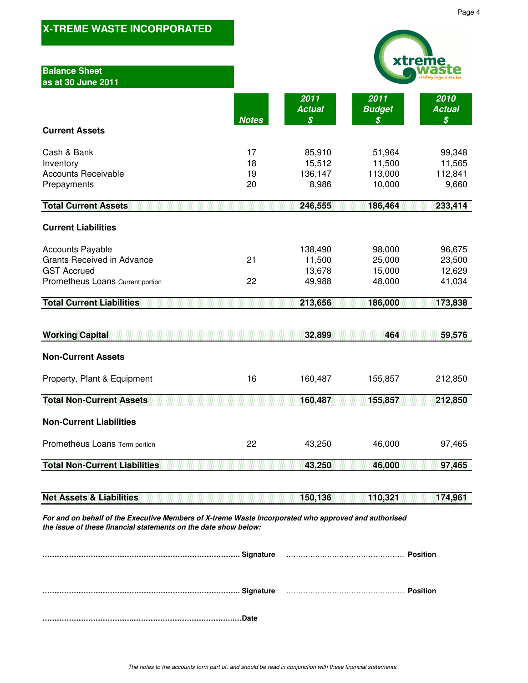| <b>Balance Sheet</b><br>as at 30 June 2011                                                                                                                              |                      |                                       |                                       |                                      |
|-------------------------------------------------------------------------------------------------------------------------------------------------------------------------|----------------------|---------------------------------------|---------------------------------------|--------------------------------------|
|                                                                                                                                                                         | <b>Notes</b>         | 2011<br><b>Actual</b><br>\$           | 2011<br><b>Budget</b><br>\$           | 2010<br><b>Actual</b><br>\$          |
| <b>Current Assets</b>                                                                                                                                                   |                      |                                       |                                       |                                      |
| Cash & Bank<br>Inventory<br><b>Accounts Receivable</b><br>Prepayments                                                                                                   | 17<br>18<br>19<br>20 | 85,910<br>15,512<br>136,147<br>8,986  | 51,964<br>11,500<br>113,000<br>10,000 | 99,348<br>11,565<br>112,841<br>9,660 |
| <b>Total Current Assets</b>                                                                                                                                             |                      | 246,555                               | 186,464                               | 233,414                              |
| <b>Current Liabilities</b>                                                                                                                                              |                      |                                       |                                       |                                      |
| <b>Accounts Payable</b><br><b>Grants Received in Advance</b><br><b>GST Accrued</b><br>Prometheus Loans Current portion                                                  | 21<br>22             | 138,490<br>11,500<br>13,678<br>49,988 | 98,000<br>25,000<br>15,000<br>48,000  | 96,675<br>23,500<br>12,629<br>41,034 |
| <b>Total Current Liabilities</b>                                                                                                                                        |                      | 213,656                               | 186,000                               | 173,838                              |
| <b>Working Capital</b>                                                                                                                                                  |                      | 32,899                                | 464                                   | 59,576                               |
| <b>Non-Current Assets</b>                                                                                                                                               |                      |                                       |                                       |                                      |
| Property, Plant & Equipment                                                                                                                                             | 16                   | 160,487                               | 155,857                               | 212,850                              |
| <b>Total Non-Current Assets</b>                                                                                                                                         |                      | 160,487                               | 155,857                               | 212,850                              |
| <b>Non-Current Liabilities</b>                                                                                                                                          |                      |                                       |                                       |                                      |
| Prometheus Loans Term portion                                                                                                                                           | 22                   | 43,250                                | 46,000                                | 97,465                               |
| <b>Total Non-Current Liabilities</b>                                                                                                                                    |                      | 43,250                                | 46,000                                | 97,465                               |
|                                                                                                                                                                         |                      |                                       |                                       |                                      |
| <b>Net Assets &amp; Liabilities</b>                                                                                                                                     |                      | 150,136                               | 110,321                               | 174,961                              |
| For and on behalf of the Executive Members of X-treme Waste Incorporated who approved and authorised<br>the issue of these financial statements on the date show below: |                      |                                       |                                       |                                      |
|                                                                                                                                                                         |                      |                                       |                                       |                                      |
|                                                                                                                                                                         |                      |                                       |                                       | <b>Position</b>                      |

**……………………………….…………………………………….…Date**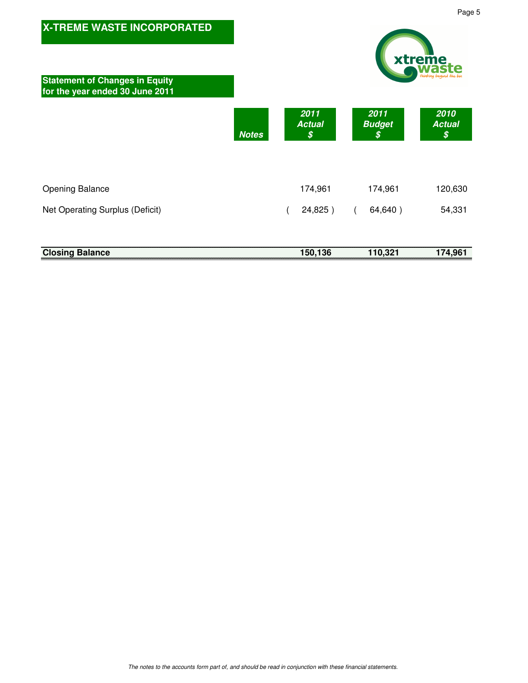

|                        |  |  |  |  |  |  |  |  |  |  |  |  |  |  |  |  |  |  |  |  |  |  |  |  | 150,136 |  |  |  |  |  |  |  | 110,321 |  |  |  |  |  |  |  |         |  |
|------------------------|--|--|--|--|--|--|--|--|--|--|--|--|--|--|--|--|--|--|--|--|--|--|--|--|---------|--|--|--|--|--|--|--|---------|--|--|--|--|--|--|--|---------|--|
| <b>Closing Balance</b> |  |  |  |  |  |  |  |  |  |  |  |  |  |  |  |  |  |  |  |  |  |  |  |  |         |  |  |  |  |  |  |  |         |  |  |  |  |  |  |  | 174,961 |  |
|                        |  |  |  |  |  |  |  |  |  |  |  |  |  |  |  |  |  |  |  |  |  |  |  |  |         |  |  |  |  |  |  |  |         |  |  |  |  |  |  |  |         |  |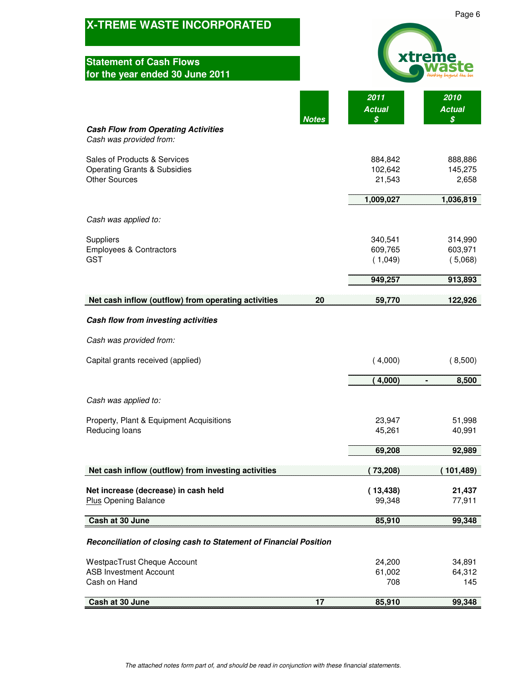| <b>X-TREME WASTE INCORPORATED</b>                                                               |                               | Page 6                        |
|-------------------------------------------------------------------------------------------------|-------------------------------|-------------------------------|
| <b>Statement of Cash Flows</b><br>for the year ended 30 June 2011                               |                               |                               |
| <b>Notes</b>                                                                                    | 2011<br><b>Actual</b><br>\$   | 2010<br><b>Actual</b><br>\$   |
| <b>Cash Flow from Operating Activities</b><br>Cash was provided from:                           |                               |                               |
| Sales of Products & Services<br><b>Operating Grants &amp; Subsidies</b><br><b>Other Sources</b> | 884,842<br>102,642<br>21,543  | 888,886<br>145,275<br>2,658   |
|                                                                                                 | 1,009,027                     | 1,036,819                     |
| Cash was applied to:                                                                            |                               |                               |
| Suppliers<br><b>Employees &amp; Contractors</b><br><b>GST</b>                                   | 340,541<br>609,765<br>(1,049) | 314,990<br>603,971<br>(5,068) |
|                                                                                                 | 949,257                       | 913,893                       |
| Net cash inflow (outflow) from operating activities<br>20                                       | 59,770                        | 122,926                       |
|                                                                                                 |                               |                               |
| Cash flow from investing activities                                                             |                               |                               |
| Cash was provided from:                                                                         |                               |                               |
| Capital grants received (applied)                                                               | (4,000)                       | (8,500)                       |
|                                                                                                 | (4,000)                       | 8,500<br>H                    |
| Cash was applied to:                                                                            |                               |                               |
| Property, Plant & Equipment Acquisitions<br>Reducing loans                                      | 23,947<br>45,261              | 51,998<br>40,991              |
|                                                                                                 |                               |                               |
|                                                                                                 | 69,208                        | 92,989                        |
| Net cash inflow (outflow) from investing activities                                             | 73,208)                       | 101,489)                      |
| Net increase (decrease) in cash held<br><b>Plus Opening Balance</b>                             | (13, 438)<br>99,348           | 21,437<br>77,911              |
| Cash at 30 June                                                                                 | 85,910                        | 99,348                        |
| Reconciliation of closing cash to Statement of Financial Position                               |                               |                               |
| <b>WestpacTrust Cheque Account</b>                                                              | 24,200                        | 34,891                        |
| <b>ASB Investment Account</b><br>Cash on Hand                                                   | 61,002<br>708                 | 64,312<br>145                 |
| 57<br>Cash at 30 June                                                                           | 85,910                        | 99,348                        |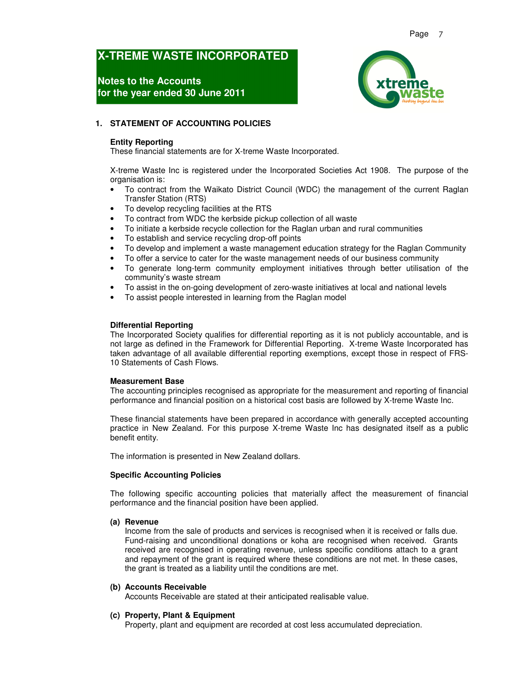# **Notes to the Accounts for the year ended 30 June 2011**



#### **1. STATEMENT OF ACCOUNTING POLICIES**

#### **Entity Reporting**

These financial statements are for X-treme Waste Incorporated.

X-treme Waste Inc is registered under the Incorporated Societies Act 1908. The purpose of the organisation is:

- To contract from the Waikato District Council (WDC) the management of the current Raglan Transfer Station (RTS)
- To develop recycling facilities at the RTS
- To contract from WDC the kerbside pickup collection of all waste
- To initiate a kerbside recycle collection for the Raglan urban and rural communities
- To establish and service recycling drop-off points
- To develop and implement a waste management education strategy for the Raglan Community
- To offer a service to cater for the waste management needs of our business community
- To generate long-term community employment initiatives through better utilisation of the community's waste stream
- To assist in the on-going development of zero-waste initiatives at local and national levels
- To assist people interested in learning from the Raglan model

#### **Differential Reporting**

The Incorporated Society qualifies for differential reporting as it is not publicly accountable, and is not large as defined in the Framework for Differential Reporting. X-treme Waste Incorporated has taken advantage of all available differential reporting exemptions, except those in respect of FRS-10 Statements of Cash Flows.

#### **Measurement Base**

The accounting principles recognised as appropriate for the measurement and reporting of financial performance and financial position on a historical cost basis are followed by X-treme Waste Inc.

These financial statements have been prepared in accordance with generally accepted accounting practice in New Zealand. For this purpose X-treme Waste Inc has designated itself as a public benefit entity.

The information is presented in New Zealand dollars.

#### **Specific Accounting Policies**

The following specific accounting policies that materially affect the measurement of financial performance and the financial position have been applied.

#### **(a) Revenue**

Income from the sale of products and services is recognised when it is received or falls due. Fund-raising and unconditional donations or koha are recognised when received. Grants received are recognised in operating revenue, unless specific conditions attach to a grant and repayment of the grant is required where these conditions are not met. In these cases, the grant is treated as a liability until the conditions are met.

#### **(b) Accounts Receivable**

Accounts Receivable are stated at their anticipated realisable value.

#### **(c) Property, Plant & Equipment**

Property, plant and equipment are recorded at cost less accumulated depreciation.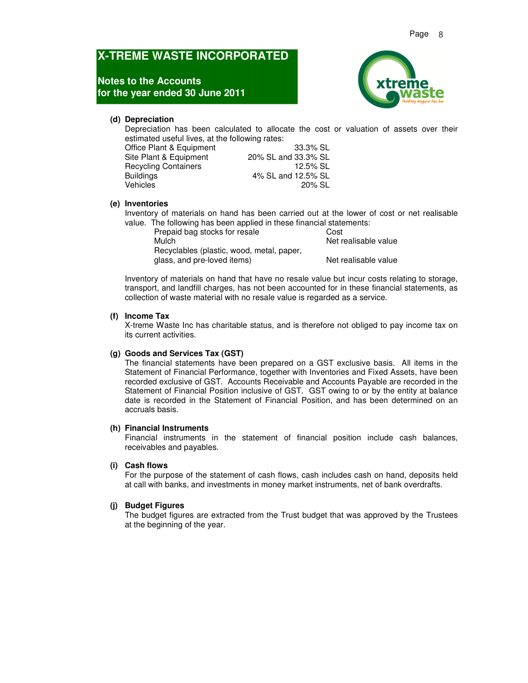### **Notes to the Accounts for the year ended 30 June 2011**



#### **(d) Depreciation**

Depreciation has been calculated to allocate the cost or valuation of assets over their estimated useful lives, at the following rates:

| Office Plant & Equipment    | 33.3% SL            |
|-----------------------------|---------------------|
| Site Plant & Equipment      | 20% SL and 33.3% SL |
| <b>Recycling Containers</b> | 12.5% SL            |
| <b>Buildings</b>            | 4% SL and 12.5% SL  |
| Vehicles                    | 20% SL              |

#### **(e) Inventories**

Inventory of materials on hand has been carried out at the lower of cost or net realisable value. The following has been applied in these financial statements:

Prepaid bag stocks for resale Cost Mulch Net realisable value Recyclables (plastic, wood, metal, paper, glass, and pre-loved items) Net realisable value

Inventory of materials on hand that have no resale value but incur costs relating to storage, transport, and landfill charges, has not been accounted for in these financial statements, as collection of waste material with no resale value is regarded as a service.

#### **(f) Income Tax**

X-treme Waste Inc has charitable status, and is therefore not obliged to pay income tax on its current activities.

#### **(g) Goods and Services Tax (GST)**

The financial statements have been prepared on a GST exclusive basis. All items in the Statement of Financial Performance, together with Inventories and Fixed Assets, have been recorded exclusive of GST. Accounts Receivable and Accounts Payable are recorded in the Statement of Financial Position inclusive of GST. GST owing to or by the entity at balance date is recorded in the Statement of Financial Position, and has been determined on an accruals basis.

#### **(h) Financial Instruments**

Financial instruments in the statement of financial position include cash balances, receivables and payables.

#### **(i) Cash flows**

For the purpose of the statement of cash flows, cash includes cash on hand, deposits held at call with banks, and investments in money market instruments, net of bank overdrafts.

#### **(j) Budget Figures**

The budget figures are extracted from the Trust budget that was approved by the Trustees at the beginning of the year.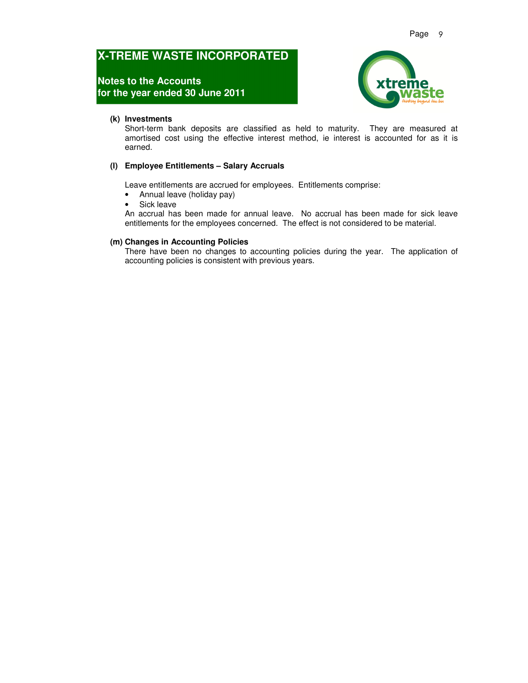# **Notes to the Accounts for the year ended 30 June 2011**



#### **(k) Investments**

Short-term bank deposits are classified as held to maturity. They are measured at amortised cost using the effective interest method, ie interest is accounted for as it is earned.

#### **(l) Employee Entitlements – Salary Accruals**

Leave entitlements are accrued for employees. Entitlements comprise:

- Annual leave (holiday pay)
- Sick leave

An accrual has been made for annual leave. No accrual has been made for sick leave entitlements for the employees concerned. The effect is not considered to be material.

#### **(m) Changes in Accounting Policies**

There have been no changes to accounting policies during the year. The application of accounting policies is consistent with previous years.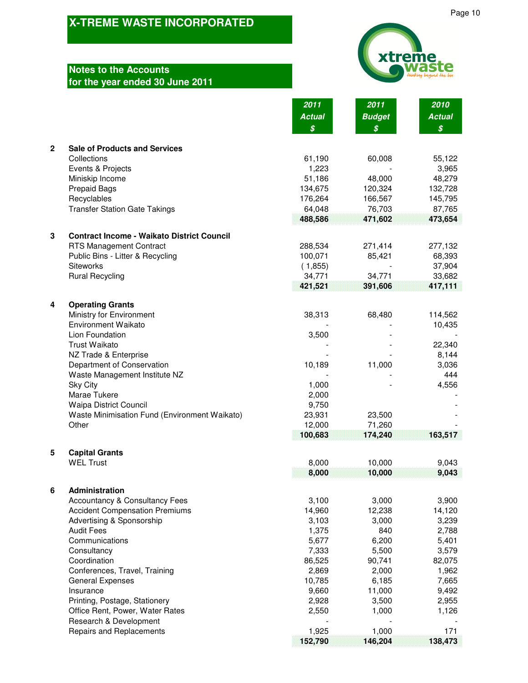# **Notes to the Accounts for the year ended 30 June 2011**



|              |                                                             | 2011<br><b>Actual</b><br>\$ | 2011<br><b>Budget</b><br>\$ | 2010<br><b>Actual</b><br>$\boldsymbol{\mathcal{S}}$ |
|--------------|-------------------------------------------------------------|-----------------------------|-----------------------------|-----------------------------------------------------|
| $\mathbf{2}$ | <b>Sale of Products and Services</b>                        |                             |                             |                                                     |
|              | Collections                                                 | 61,190                      | 60,008                      | 55,122                                              |
|              | Events & Projects                                           | 1,223                       |                             | 3,965                                               |
|              | Miniskip Income                                             | 51,186<br>134,675           | 48,000<br>120,324           | 48,279                                              |
|              | <b>Prepaid Bags</b><br>Recyclables                          | 176,264                     | 166,567                     | 132,728<br>145,795                                  |
|              | <b>Transfer Station Gate Takings</b>                        | 64,048                      | 76,703                      | 87,765                                              |
|              |                                                             | 488,586                     | 471,602                     | 473,654                                             |
| 3            | <b>Contract Income - Waikato District Council</b>           |                             |                             |                                                     |
|              | <b>RTS Management Contract</b>                              | 288,534                     | 271,414                     | 277,132                                             |
|              | Public Bins - Litter & Recycling                            | 100,071                     | 85,421                      | 68,393                                              |
|              | Siteworks                                                   | (1,855)                     |                             | 37,904                                              |
|              | <b>Rural Recycling</b>                                      | 34,771<br>421,521           | 34,771<br>391,606           | 33,682<br>417,111                                   |
|              |                                                             |                             |                             |                                                     |
| 4            | <b>Operating Grants</b><br>Ministry for Environment         | 38,313                      | 68,480                      | 114,562                                             |
|              | <b>Environment Waikato</b>                                  |                             |                             | 10,435                                              |
|              | Lion Foundation                                             | 3,500                       |                             |                                                     |
|              | <b>Trust Waikato</b>                                        |                             |                             | 22,340                                              |
|              | NZ Trade & Enterprise                                       |                             |                             | 8,144                                               |
|              | Department of Conservation                                  | 10,189                      | 11,000                      | 3,036<br>444                                        |
|              | Waste Management Institute NZ<br><b>Sky City</b>            | 1,000                       |                             | 4,556                                               |
|              | Marae Tukere                                                | 2,000                       |                             |                                                     |
|              | Waipa District Council                                      | 9,750                       |                             |                                                     |
|              | Waste Minimisation Fund (Environment Waikato)               | 23,931                      | 23,500                      |                                                     |
|              | Other                                                       | 12,000                      | 71,260                      |                                                     |
|              |                                                             | 100,683                     | 174,240                     | 163,517                                             |
| 5            | <b>Capital Grants</b>                                       |                             |                             |                                                     |
|              | <b>WEL Trust</b>                                            | 8,000<br>8,000              | 10,000<br>10,000            | 9,043<br>9,043                                      |
|              |                                                             |                             |                             |                                                     |
| 6            | Administration<br><b>Accountancy &amp; Consultancy Fees</b> | 3,100                       | 3,000                       | 3,900                                               |
|              | <b>Accident Compensation Premiums</b>                       | 14,960                      | 12,238                      | 14,120                                              |
|              | Advertising & Sponsorship                                   | 3,103                       | 3,000                       | 3,239                                               |
|              | <b>Audit Fees</b>                                           | 1,375                       | 840                         | 2,788                                               |
|              | Communications                                              | 5,677                       | 6,200                       | 5,401                                               |
|              | Consultancy                                                 | 7,333                       | 5,500                       | 3,579                                               |
|              | Coordination<br>Conferences, Travel, Training               | 86,525<br>2,869             | 90,741<br>2,000             | 82,075<br>1,962                                     |
|              | <b>General Expenses</b>                                     | 10,785                      | 6,185                       | 7,665                                               |
|              | Insurance                                                   | 9,660                       | 11,000                      | 9,492                                               |
|              | Printing, Postage, Stationery                               | 2,928                       | 3,500                       | 2,955                                               |
|              | Office Rent, Power, Water Rates                             | 2,550                       | 1,000                       | 1,126                                               |
|              | Research & Development<br><b>Repairs and Replacements</b>   | 1,925                       | 1,000                       | 171                                                 |
|              |                                                             | 152,790                     | 146,204                     | 138,473                                             |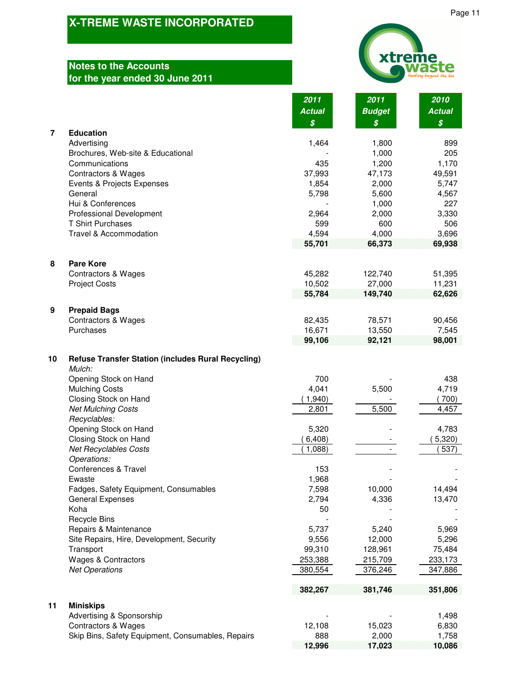# **Notes to the Accounts for the year ended 30 June 2011**



| xtreme<br>waste<br>thinking beyond the bin |
|--------------------------------------------|

|                |                                                                     | 2011                                        | 2011                                        | 2010                                        |
|----------------|---------------------------------------------------------------------|---------------------------------------------|---------------------------------------------|---------------------------------------------|
|                |                                                                     | <b>Actual</b><br>$\boldsymbol{\mathcal{S}}$ | <b>Budget</b><br>$\boldsymbol{\mathcal{S}}$ | <b>Actual</b><br>$\boldsymbol{\mathcal{S}}$ |
| $\overline{7}$ | <b>Education</b>                                                    |                                             |                                             |                                             |
|                | Advertising                                                         | 1,464                                       | 1,800                                       | 899                                         |
|                | Brochures, Web-site & Educational                                   |                                             | 1,000                                       | 205                                         |
|                | Communications                                                      | 435                                         | 1,200                                       | 1,170                                       |
|                | <b>Contractors &amp; Wages</b><br>Events & Projects Expenses        | 37,993<br>1,854                             | 47,173<br>2,000                             | 49,591<br>5,747                             |
|                | General                                                             | 5,798                                       | 5,600                                       | 4,567                                       |
|                | Hui & Conferences                                                   |                                             | 1,000                                       | 227                                         |
|                | <b>Professional Development</b>                                     | 2,964                                       | 2,000                                       | 3,330                                       |
|                | <b>T Shirt Purchases</b>                                            | 599                                         | 600                                         | 506                                         |
|                | Travel & Accommodation                                              | 4,594                                       | 4,000                                       | 3,696                                       |
|                |                                                                     | 55,701                                      | 66,373                                      | 69,938                                      |
| 8              | <b>Pare Kore</b>                                                    |                                             |                                             |                                             |
|                | <b>Contractors &amp; Wages</b>                                      | 45,282                                      | 122,740                                     | 51,395                                      |
|                | <b>Project Costs</b>                                                | 10,502                                      | 27,000                                      | 11,231                                      |
|                |                                                                     | 55,784                                      | 149,740                                     | 62,626                                      |
| 9              | <b>Prepaid Bags</b>                                                 |                                             |                                             |                                             |
|                | Contractors & Wages<br>Purchases                                    | 82,435<br>16,671                            | 78,571                                      | 90,456<br>7,545                             |
|                |                                                                     | 99,106                                      | 13,550<br>92,121                            | 98,001                                      |
| 10             | <b>Refuse Transfer Station (includes Rural Recycling)</b><br>Mulch: |                                             |                                             |                                             |
|                | Opening Stock on Hand                                               | 700                                         |                                             | 438                                         |
|                | <b>Mulching Costs</b>                                               | 4,041                                       | 5,500                                       | 4,719                                       |
|                | Closing Stock on Hand                                               | 1,940                                       |                                             | (700)                                       |
|                | <b>Net Mulching Costs</b>                                           | 2,801                                       | 5,500                                       | 4,457                                       |
|                | Recyclables:                                                        |                                             |                                             |                                             |
|                | Opening Stock on Hand<br>Closing Stock on Hand                      | 5,320                                       |                                             | 4,783<br>5,320                              |
|                | <b>Net Recyclables Costs</b>                                        | 6,408)<br>1,088)                            |                                             | 537)                                        |
|                | Operations:                                                         |                                             |                                             |                                             |
|                | Conferences & Travel                                                | 153                                         |                                             |                                             |
|                | Ewaste                                                              | 1,968                                       |                                             |                                             |
|                | Fadges, Safety Equipment, Consumables                               | 7,598                                       | 10,000                                      | 14,494                                      |
|                | <b>General Expenses</b>                                             | 2,794                                       | 4,336                                       | 13,470                                      |
|                | Koha<br>Recycle Bins                                                | 50                                          |                                             |                                             |
|                | Repairs & Maintenance                                               | 5,737                                       | 5,240                                       | 5,969                                       |
|                | Site Repairs, Hire, Development, Security                           | 9,556                                       | 12,000                                      | 5,296                                       |
|                | Transport                                                           | 99,310                                      | 128,961                                     | 75,484                                      |
|                | <b>Wages &amp; Contractors</b>                                      | 253,388                                     | 215,709                                     | 233,173                                     |
|                | <b>Net Operations</b>                                               | 380,554                                     | 376,246                                     | 347,886                                     |
|                |                                                                     | 382,267                                     | 381,746                                     | 351,806                                     |
| 11             | <b>Miniskips</b>                                                    |                                             |                                             |                                             |
|                | Advertising & Sponsorship<br><b>Contractors &amp; Wages</b>         | 12,108                                      | 15,023                                      | 1,498<br>6,830                              |
|                | Skip Bins, Safety Equipment, Consumables, Repairs                   | 888                                         | 2,000                                       | 1,758                                       |
|                |                                                                     | 12,996                                      | 17,023                                      | 10.086                                      |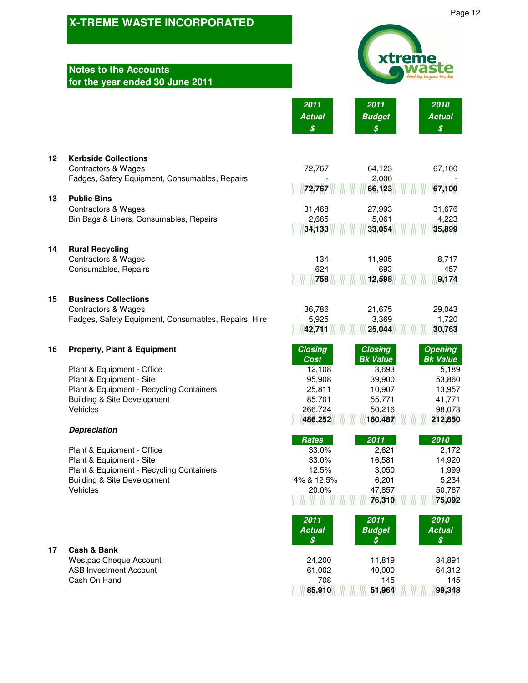|    | <b>X-TREME WASTE INCORPORATED</b>                                                      |                                                     | Page 12                           |                                   |  |
|----|----------------------------------------------------------------------------------------|-----------------------------------------------------|-----------------------------------|-----------------------------------|--|
|    |                                                                                        |                                                     |                                   |                                   |  |
|    | <b>Notes to the Accounts</b><br>for the year ended 30 June 2011                        |                                                     | xtreme                            |                                   |  |
|    |                                                                                        | 2011<br><b>Actual</b><br>$\boldsymbol{\mathcal{S}}$ | 2011<br><b>Budget</b><br>\$       | 2010<br><b>Actual</b><br>\$       |  |
| 12 | <b>Kerbside Collections</b><br><b>Contractors &amp; Wages</b>                          | 72,767                                              | 64,123                            | 67,100                            |  |
|    | Fadges, Safety Equipment, Consumables, Repairs                                         | 72,767                                              | 2,000<br>66,123                   | 67,100                            |  |
| 13 | <b>Public Bins</b>                                                                     |                                                     |                                   |                                   |  |
|    | <b>Contractors &amp; Wages</b><br>Bin Bags & Liners, Consumables, Repairs              | 31,468<br>2,665                                     | 27,993<br>5,061                   | 31,676<br>4,223                   |  |
|    |                                                                                        | 34,133                                              | 33,054                            | 35,899                            |  |
| 14 | <b>Rural Recycling</b>                                                                 |                                                     |                                   |                                   |  |
|    | <b>Contractors &amp; Wages</b><br>Consumables, Repairs                                 | 134<br>624                                          | 11,905<br>693                     | 8,717<br>457                      |  |
|    |                                                                                        | 758                                                 | 12,598                            | 9,174                             |  |
| 15 | <b>Business Collections</b>                                                            |                                                     |                                   |                                   |  |
|    | <b>Contractors &amp; Wages</b><br>Fadges, Safety Equipment, Consumables, Repairs, Hire | 36,786<br>5,925                                     | 21,675<br>3,369                   | 29,043<br>1,720                   |  |
|    |                                                                                        | 42,711                                              | 25,044                            | 30,763                            |  |
| 16 | <b>Property, Plant &amp; Equipment</b>                                                 | <b>Closing</b><br>Cost                              | <b>Closing</b><br><b>Bk Value</b> | <b>Opening</b><br><b>Bk Value</b> |  |
|    | Plant & Equipment - Office                                                             | 12,108                                              | 3,693                             | 5,189                             |  |
|    | Plant & Equipment - Site                                                               | 95,908<br>25,811                                    | 39,900                            | 53,860                            |  |
|    | Plant & Equipment - Recycling Containers<br><b>Building &amp; Site Development</b>     | 85,701                                              | 10,907<br>55,771                  | 13,957<br>41,771                  |  |
|    | Vehicles                                                                               | 266,724                                             | 50,216                            | 98,073                            |  |
|    | <b>Depreciation</b>                                                                    | 486,252                                             | 160,487                           | 212,850                           |  |
|    |                                                                                        | <b>Rates</b>                                        | 2011                              | 2010                              |  |
|    | Plant & Equipment - Office                                                             | 33.0%                                               | 2,621                             | 2,172                             |  |
|    | Plant & Equipment - Site<br>Plant & Equipment - Recycling Containers                   | 33.0%<br>12.5%                                      | 16,581<br>3,050                   | 14,920<br>1,999                   |  |
|    | <b>Building &amp; Site Development</b>                                                 | 4% & 12.5%                                          | 6,201                             | 5,234                             |  |
|    | Vehicles                                                                               | 20.0%                                               | 47,857                            | 50,767                            |  |
|    |                                                                                        |                                                     | 76,310                            | 75,092                            |  |
|    |                                                                                        | 2011<br><b>Actual</b><br>\$                         | 2011<br><b>Budget</b><br>\$       | 2010<br><b>Actual</b><br>\$       |  |

**85,910** 51,964

# **17 Cash & Bank**

Westpac Cheque Account 24,200 11,819 34,891<br>ASB Investment Account 61,002 40,000 64,312 ASB Investment Account 61,002 40,000 64,312<br>Cash On Hand 61,002 145 145 Cash On Hand 708 145 145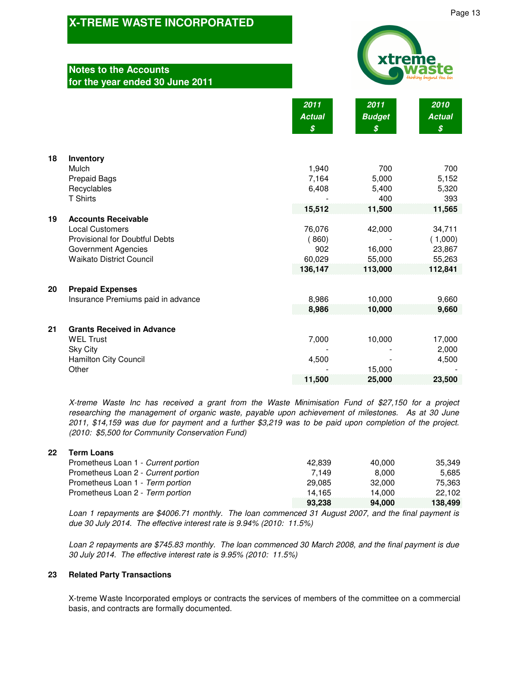### **Notes to th** for the year

|    | A-THEIME WASTE INCONFORATED<br><b>Notes to the Accounts</b> |                       | xtreme                |                       |  |
|----|-------------------------------------------------------------|-----------------------|-----------------------|-----------------------|--|
|    | for the year ended 30 June 2011                             | 2011<br><b>Actual</b> | 2011<br><b>Budget</b> | 2010<br><b>Actual</b> |  |
|    |                                                             | \$                    | \$                    | \$                    |  |
| 18 | Inventory                                                   |                       |                       |                       |  |
|    | Mulch                                                       | 1,940                 | 700                   | 700                   |  |
|    | <b>Prepaid Bags</b>                                         | 7,164                 | 5,000                 | 5,152                 |  |
|    | Recyclables                                                 | 6,408                 | 5,400                 | 5,320                 |  |
|    | <b>T</b> Shirts                                             |                       | 400                   | 393                   |  |
| 19 | <b>Accounts Receivable</b>                                  | 15,512                | 11,500                | 11,565                |  |
|    | <b>Local Customers</b>                                      | 76,076                | 42,000                | 34,711                |  |
|    | Provisional for Doubtful Debts                              | (860)                 |                       | (1,000)               |  |
|    | <b>Government Agencies</b>                                  | 902                   | 16,000                | 23,867                |  |
|    | <b>Waikato District Council</b>                             | 60,029                | 55,000                | 55,263                |  |
|    |                                                             | 136,147               | 113,000               | 112,841               |  |
| 20 | <b>Prepaid Expenses</b>                                     |                       |                       |                       |  |
|    | Insurance Premiums paid in advance                          | 8,986                 | 10,000                | 9,660                 |  |
|    |                                                             | 8,986                 | 10,000                | 9,660                 |  |
| 21 | <b>Grants Received in Advance</b>                           |                       |                       |                       |  |
|    | <b>WEL Trust</b><br>$Cl_{21}Cl_{11}$                        | 7,000                 | 10,000                | 17,000<br>∩∩∩ מ       |  |

| <b>Sky City</b>              |                          | -      | 2.000  |
|------------------------------|--------------------------|--------|--------|
| <b>Hamilton City Council</b> | 4.500                    | -      | 4,500  |
| Other                        | $\overline{\phantom{0}}$ | 15.000 |        |
|                              | 11,500                   | 25,000 | 23,500 |

*X-treme Waste Inc has received a grant from the Waste Minimisation Fund of \$27,150 for a project researching the management of organic waste, payable upon achievement of milestones. As at 30 June 2011, \$14,159 was due for payment and a further \$3,219 was to be paid upon completion of the project. (2010: \$5,500 for Community Conservation Fund)*

### **22 Term Loans**

| Prometheus Loan 1 - Current portion | 42.839 | 40.000 | 35.349  |
|-------------------------------------|--------|--------|---------|
| Prometheus Loan 2 - Current portion | 7.149  | 8.000  | 5.685   |
| Prometheus Loan 1 - Term portion    | 29.085 | 32,000 | 75.363  |
| Prometheus Loan 2 - Term portion    | 14.165 | 14.000 | 22.102  |
|                                     | 93.238 | 94.000 | 138.499 |

*Loan 1 repayments are \$4006.71 monthly. The loan commenced 31 August 2007, and the final payment is due 30 July 2014. The effective interest rate is 9.94% (2010: 11.5%)*

*Loan 2 repayments are \$745.83 monthly. The loan commenced 30 March 2008, and the final payment is due 30 July 2014. The effective interest rate is 9.95% (2010: 11.5%)*

### **23 Related Party Transactions**

X-treme Waste Incorporated employs or contracts the services of members of the committee on a commercial basis, and contracts are formally documented.